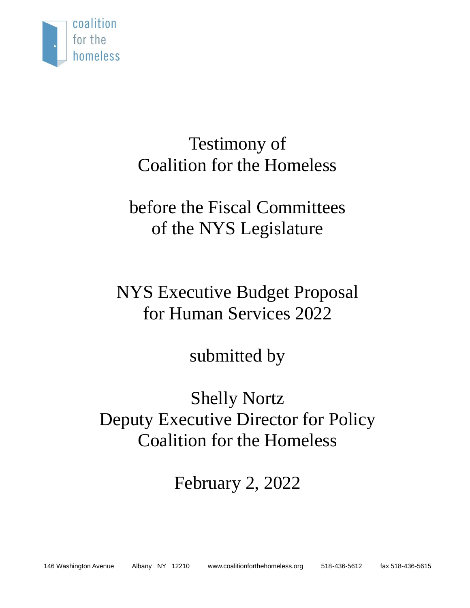

## Testimony of Coalition for the Homeless

# before the Fiscal Committees of the NYS Legislature

# NYS Executive Budget Proposal for Human Services 2022

## submitted by

## Shelly Nortz Deputy Executive Director for Policy Coalition for the Homeless

# February 2, 2022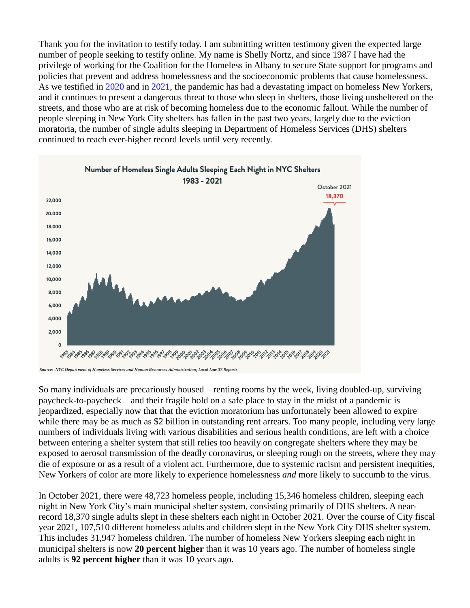Thank you for the invitation to testify today. I am submitting written testimony given the expected large number of people seeking to testify online. My name is Shelly Nortz, and since 1987 I have had the privilege of working for the Coalition for the Homeless in Albany to secure State support for programs and policies that prevent and address homelessness and the socioeconomic problems that cause homelessness. As we testified in [2020](https://www.coalitionforthehomeless.org/wp-content/uploads/2020/05/COVID-19TestimonyMay182020.pdf) and in [2021,](https://www.coalitionforthehomeless.org/wp-content/uploads/2021/12/CFTH_LAS_Testimony_NYSAssemblyHomelessness_12-14-21.pdf) the pandemic has had a devastating impact on homeless New Yorkers, and it continues to present a dangerous threat to those who sleep in shelters, those living unsheltered on the streets, and those who are at risk of becoming homeless due to the economic fallout. While the number of people sleeping in New York City shelters has fallen in the past two years, largely due to the eviction moratoria, the number of single adults sleeping in Department of Homeless Services (DHS) shelters continued to reach ever-higher record levels until very recently.



Source: NYC Department of Homeless Services and Human Resources Administration; Local Law 37 Reports

So many individuals are precariously housed – renting rooms by the week, living doubled-up, surviving paycheck-to-paycheck – and their fragile hold on a safe place to stay in the midst of a pandemic is jeopardized, especially now that that the eviction moratorium has unfortunately been allowed to expire while there may be as much as \$2 billion in outstanding rent arrears. Too many people, including very large numbers of individuals living with various disabilities and serious health conditions, are left with a choice between entering a shelter system that still relies too heavily on congregate shelters where they may be exposed to aerosol transmission of the deadly coronavirus, or sleeping rough on the streets, where they may die of exposure or as a result of a violent act. Furthermore, due to systemic racism and persistent inequities, New Yorkers of color are more likely to experience homelessness *and* more likely to succumb to the virus.

In October 2021, there were 48,723 homeless people, including 15,346 homeless children, sleeping each night in New York City's main municipal shelter system, consisting primarily of DHS shelters. A nearrecord 18,370 single adults slept in these shelters each night in October 2021. Over the course of City fiscal year 2021, 107,510 different homeless adults and children slept in the New York City DHS shelter system. This includes 31,947 homeless children. The number of homeless New Yorkers sleeping each night in municipal shelters is now **20 percent higher** than it was 10 years ago. The number of homeless single adults is **92 percent higher** than it was 10 years ago.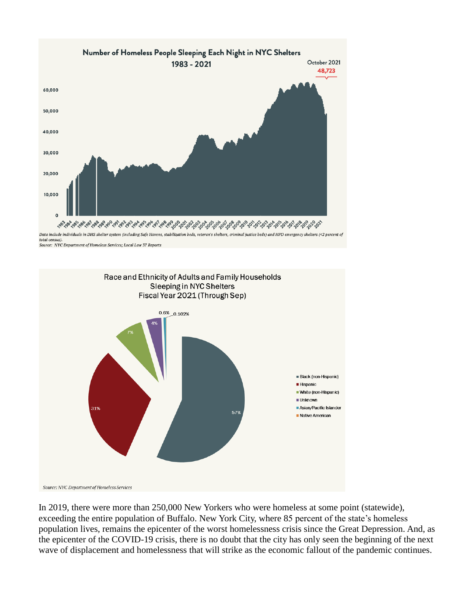

total census). Source: NYC Department of Homeless Services; Local Law 37 Reports



In 2019, there were more than 250,000 New Yorkers who were homeless at some point (statewide), exceeding the entire population of Buffalo. New York City, where 85 percent of the state's homeless population lives, remains the epicenter of the worst homelessness crisis since the Great Depression. And, as the epicenter of the COVID-19 crisis, there is no doubt that the city has only seen the beginning of the next wave of displacement and homelessness that will strike as the economic fallout of the pandemic continues.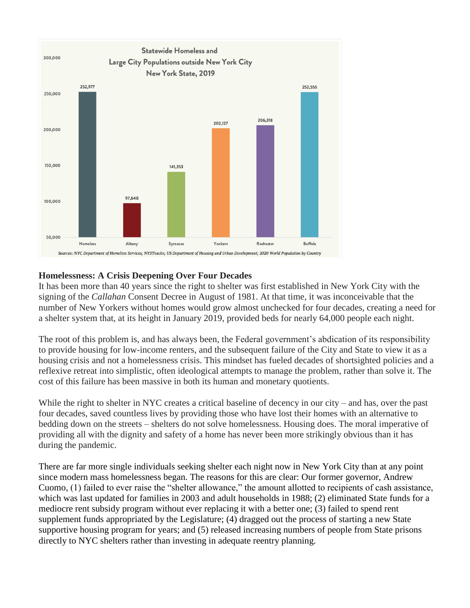

#### **Homelessness: A Crisis Deepening Over Four Decades**

It has been more than 40 years since the right to shelter was first established in New York City with the signing of the *Callahan* Consent Decree in August of 1981. At that time, it was inconceivable that the number of New Yorkers without homes would grow almost unchecked for four decades, creating a need for a shelter system that, at its height in January 2019, provided beds for nearly 64,000 people each night.

The root of this problem is, and has always been, the Federal government's abdication of its responsibility to provide housing for low-income renters, and the subsequent failure of the City and State to view it as a housing crisis and not a homelessness crisis. This mindset has fueled decades of shortsighted policies and a reflexive retreat into simplistic, often ideological attempts to manage the problem, rather than solve it. The cost of this failure has been massive in both its human and monetary quotients.

While the right to shelter in NYC creates a critical baseline of decency in our city – and has, over the past four decades, saved countless lives by providing those who have lost their homes with an alternative to bedding down on the streets – shelters do not solve homelessness. Housing does. The moral imperative of providing all with the dignity and safety of a home has never been more strikingly obvious than it has during the pandemic.

There are far more single individuals seeking shelter each night now in New York City than at any point since modern mass homelessness began. The reasons for this are clear: Our former governor, Andrew Cuomo, (1) failed to ever raise the "shelter allowance," the amount allotted to recipients of cash assistance, which was last updated for families in 2003 and adult households in 1988; (2) eliminated State funds for a mediocre rent subsidy program without ever replacing it with a better one; (3) failed to spend rent supplement funds appropriated by the Legislature; (4) dragged out the process of starting a new State supportive housing program for years; and (5) released increasing numbers of people from State prisons directly to NYC shelters rather than investing in adequate reentry planning.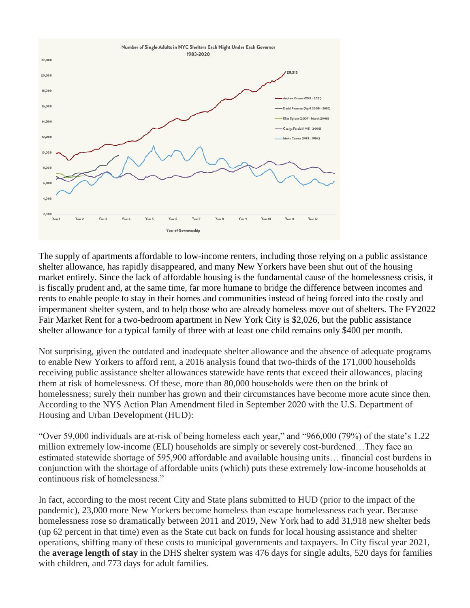

The supply of apartments affordable to low-income renters, including those relying on a public assistance shelter allowance, has rapidly disappeared, and many New Yorkers have been shut out of the housing market entirely. Since the lack of affordable housing is the fundamental cause of the homelessness crisis, it is fiscally prudent and, at the same time, far more humane to bridge the difference between incomes and rents to enable people to stay in their homes and communities instead of being forced into the costly and impermanent shelter system, and to help those who are already homeless move out of shelters. The FY2022 Fair Market Rent for a two-bedroom apartment in New York City is \$2,026, but the public assistance shelter allowance for a typical family of three with at least one child remains only \$400 per month.

Not surprising, given the outdated and inadequate shelter allowance and the absence of adequate programs to enable New Yorkers to afford rent, a 2016 analysis found that two-thirds of the 171,000 households receiving public assistance shelter allowances statewide have rents that exceed their allowances, placing them at risk of homelessness. Of these, more than 80,000 households were then on the brink of homelessness; surely their number has grown and their circumstances have become more acute since then. According to the NYS Action Plan Amendment filed in September 2020 with the U.S. Department of Housing and Urban Development (HUD):

"Over 59,000 individuals are at-risk of being homeless each year," and "966,000 (79%) of the state's 1.22 million extremely low-income (ELI) households are simply or severely cost-burdened…They face an estimated statewide shortage of 595,900 affordable and available housing units… financial cost burdens in conjunction with the shortage of affordable units (which) puts these extremely low-income households at continuous risk of homelessness."

In fact, according to the most recent City and State plans submitted to HUD (prior to the impact of the pandemic), 23,000 more New Yorkers become homeless than escape homelessness each year. Because homelessness rose so dramatically between 2011 and 2019, New York had to add 31,918 new shelter beds (up 62 percent in that time) even as the State cut back on funds for local housing assistance and shelter operations, shifting many of these costs to municipal governments and taxpayers. In City fiscal year 2021, the **average length of stay** in the DHS shelter system was 476 days for single adults, 520 days for families with children, and 773 days for adult families.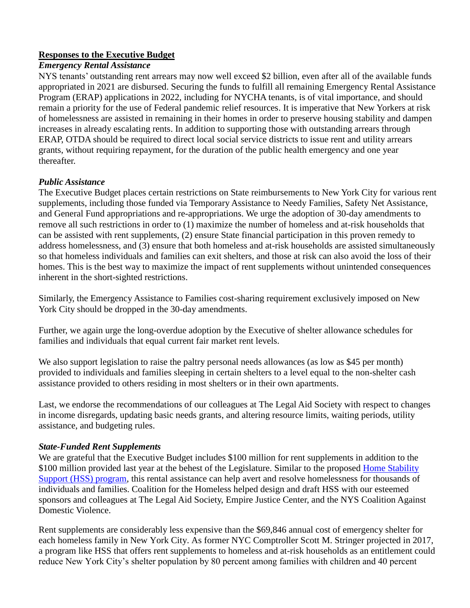### **Responses to the Executive Budget**

#### *Emergency Rental Assistance*

NYS tenants' outstanding rent arrears may now well exceed \$2 billion, even after all of the available funds appropriated in 2021 are disbursed. Securing the funds to fulfill all remaining Emergency Rental Assistance Program (ERAP) applications in 2022, including for NYCHA tenants, is of vital importance, and should remain a priority for the use of Federal pandemic relief resources. It is imperative that New Yorkers at risk of homelessness are assisted in remaining in their homes in order to preserve housing stability and dampen increases in already escalating rents. In addition to supporting those with outstanding arrears through ERAP, OTDA should be required to direct local social service districts to issue rent and utility arrears grants, without requiring repayment, for the duration of the public health emergency and one year thereafter.

### *Public Assistance*

The Executive Budget places certain restrictions on State reimbursements to New York City for various rent supplements, including those funded via Temporary Assistance to Needy Families, Safety Net Assistance, and General Fund appropriations and re-appropriations. We urge the adoption of 30-day amendments to remove all such restrictions in order to (1) maximize the number of homeless and at-risk households that can be assisted with rent supplements, (2) ensure State financial participation in this proven remedy to address homelessness, and (3) ensure that both homeless and at-risk households are assisted simultaneously so that homeless individuals and families can exit shelters, and those at risk can also avoid the loss of their homes. This is the best way to maximize the impact of rent supplements without unintended consequences inherent in the short-sighted restrictions.

Similarly, the Emergency Assistance to Families cost-sharing requirement exclusively imposed on New York City should be dropped in the 30-day amendments.

Further, we again urge the long-overdue adoption by the Executive of shelter allowance schedules for families and individuals that equal current fair market rent levels.

We also support legislation to raise the paltry personal needs allowances (as low as \$45 per month) provided to individuals and families sleeping in certain shelters to a level equal to the non-shelter cash assistance provided to others residing in most shelters or in their own apartments.

Last, we endorse the recommendations of our colleagues at The Legal Aid Society with respect to changes in income disregards, updating basic needs grants, and altering resource limits, waiting periods, utility assistance, and budgeting rules.

#### *State-Funded Rent Supplements*

We are grateful that the Executive Budget includes \$100 million for rent supplements in addition to the \$100 million provided last year at the behest of the Legislature. Similar to the proposed [Home Stability](https://sayyestohss.org/) [Support \(HSS\) program,](https://sayyestohss.org/) this rental assistance can help avert and resolve homelessness for thousands of individuals and families. Coalition for the Homeless helped design and draft HSS with our esteemed sponsors and colleagues at The Legal Aid Society, Empire Justice Center, and the NYS Coalition Against Domestic Violence.

Rent supplements are considerably less expensive than the \$69,846 annual cost of emergency shelter for each homeless family in New York City. As former NYC Comptroller Scott M. Stringer projected in 2017, a program like HSS that offers rent supplements to homeless and at-risk households as an entitlement could reduce New York City's shelter population by 80 percent among families with children and 40 percent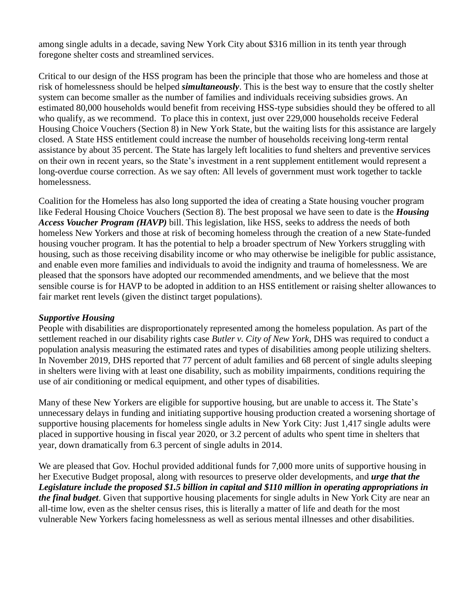among single adults in a decade, saving New York City about \$316 million in its tenth year through foregone shelter costs and streamlined services.

Critical to our design of the HSS program has been the principle that those who are homeless and those at risk of homelessness should be helped *simultaneously*. This is the best way to ensure that the costly shelter system can become smaller as the number of families and individuals receiving subsidies grows. An estimated 80,000 households would benefit from receiving HSS-type subsidies should they be offered to all who qualify, as we recommend. To place this in context, just over 229,000 households receive Federal Housing Choice Vouchers (Section 8) in New York State, but the waiting lists for this assistance are largely closed. A State HSS entitlement could increase the number of households receiving long-term rental assistance by about 35 percent. The State has largely left localities to fund shelters and preventive services on their own in recent years, so the State's investment in a rent supplement entitlement would represent a long-overdue course correction. As we say often: All levels of government must work together to tackle homelessness.

Coalition for the Homeless has also long supported the idea of creating a State housing voucher program like Federal Housing Choice Vouchers (Section 8). The best proposal we have seen to date is the *Housing Access Voucher Program (HAVP)* bill. This legislation, like HSS, seeks to address the needs of both homeless New Yorkers and those at risk of becoming homeless through the creation of a new State-funded housing voucher program. It has the potential to help a broader spectrum of New Yorkers struggling with housing, such as those receiving disability income or who may otherwise be ineligible for public assistance, and enable even more families and individuals to avoid the indignity and trauma of homelessness. We are pleased that the sponsors have adopted our recommended amendments, and we believe that the most sensible course is for HAVP to be adopted in addition to an HSS entitlement or raising shelter allowances to fair market rent levels (given the distinct target populations).

#### *Supportive Housing*

People with disabilities are disproportionately represented among the homeless population. As part of the settlement reached in our disability rights case *Butler v. City of New York*, DHS was required to conduct a population analysis measuring the estimated rates and types of disabilities among people utilizing shelters. In November 2019, DHS reported that 77 percent of adult families and 68 percent of single adults sleeping in shelters were living with at least one disability, such as mobility impairments, conditions requiring the use of air conditioning or medical equipment, and other types of disabilities.

Many of these New Yorkers are eligible for supportive housing, but are unable to access it. The State's unnecessary delays in funding and initiating supportive housing production created a worsening shortage of supportive housing placements for homeless single adults in New York City: Just 1,417 single adults were placed in supportive housing in fiscal year 2020, or 3.2 percent of adults who spent time in shelters that year, down dramatically from 6.3 percent of single adults in 2014.

We are pleased that Gov. Hochul provided additional funds for 7,000 more units of supportive housing in her Executive Budget proposal, along with resources to preserve older developments, and *urge that the Legislature include the proposed \$1.5 billion in capital and \$110 million in operating appropriations in the final budget*. Given that supportive housing placements for single adults in New York City are near an all-time low, even as the shelter census rises, this is literally a matter of life and death for the most vulnerable New Yorkers facing homelessness as well as serious mental illnesses and other disabilities.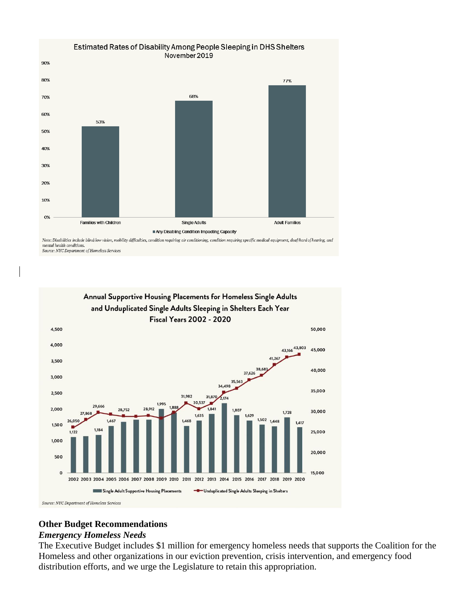

Note: Disabilities include blind/low vision, mobility difficulties, condition requiring air conditioning, condition requiring specific medical equipment, deaf/hard of hearing, and mental health conditions. Source: NYC Department of Homeless Services



#### **Other Budget Recommendations**

#### *Emergency Homeless Needs*

The Executive Budget includes \$1 million for emergency homeless needs that supports the Coalition for the Homeless and other organizations in our eviction prevention, crisis intervention, and emergency food distribution efforts, and we urge the Legislature to retain this appropriation.